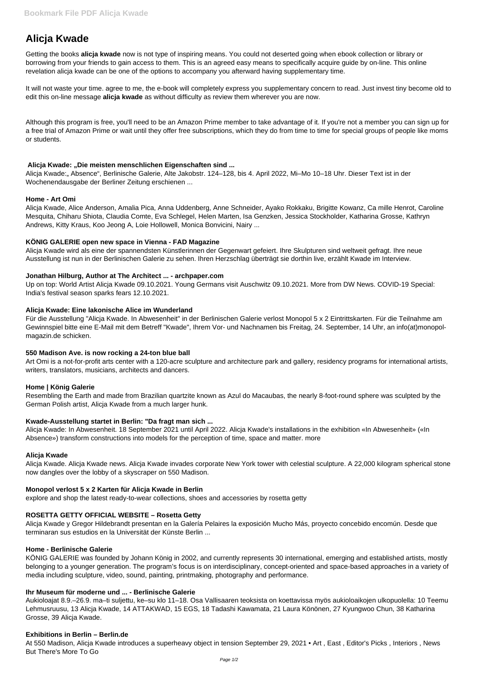# **Alicja Kwade**

Getting the books **alicja kwade** now is not type of inspiring means. You could not deserted going when ebook collection or library or borrowing from your friends to gain access to them. This is an agreed easy means to specifically acquire guide by on-line. This online revelation alicja kwade can be one of the options to accompany you afterward having supplementary time.

It will not waste your time. agree to me, the e-book will completely express you supplementary concern to read. Just invest tiny become old to edit this on-line message **alicja kwade** as without difficulty as review them wherever you are now.

Alicja Kwade: "Absence", Berlinische Galerie, Alte Jakobstr. 124–128, bis 4. April 2022, Mi–Mo 10–18 Uhr. Dieser Text ist in der Wochenendausgabe der Berliner Zeitung erschienen ...

Although this program is free, you'll need to be an Amazon Prime member to take advantage of it. If you're not a member you can sign up for a free trial of Amazon Prime or wait until they offer free subscriptions, which they do from time to time for special groups of people like moms or students.

## **Alicja Kwade: "Die meisten menschlichen Eigenschaften sind ...**

## **Home - Art Omi**

Alicja Kwade, Alice Anderson, Amalia Pica, Anna Uddenberg, Anne Schneider, Ayako Rokkaku, Brigitte Kowanz, Ca mille Henrot, Caroline Mesquita, Chiharu Shiota, Claudia Comte, Eva Schlegel, Helen Marten, Isa Genzken, Jessica Stockholder, Katharina Grosse, Kathryn Andrews, Kitty Kraus, Koo Jeong A, Loie Hollowell, Monica Bonvicini, Nairy ...

## **KÖNIG GALERIE open new space in Vienna - FAD Magazine**

Alicja Kwade wird als eine der spannendsten Künstlerinnen der Gegenwart gefeiert. Ihre Skulpturen sind weltweit gefragt. Ihre neue Ausstellung ist nun in der Berlinischen Galerie zu sehen. Ihren Herzschlag überträgt sie dorthin live, erzählt Kwade im Interview.

#### **Jonathan Hilburg, Author at The Architect ... - archpaper.com**

Up on top: World Artist Alicja Kwade 09.10.2021. Young Germans visit Auschwitz 09.10.2021. More from DW News. COVID-19 Special: India's festival season sparks fears 12.10.2021.

# **Alicja Kwade: Eine lakonische Alice im Wunderland**

Für die Ausstellung "Alicja Kwade. In Abwesenheit" in der Berlinischen Galerie verlost Monopol 5 x 2 Eintrittskarten. Für die Teilnahme am Gewinnspiel bitte eine E-Mail mit dem Betreff "Kwade", Ihrem Vor- und Nachnamen bis Freitag, 24. September, 14 Uhr, an info(at)monopolmagazin.de schicken.

#### **550 Madison Ave. is now rocking a 24-ton blue ball**

Art Omi is a not-for-profit arts center with a 120-acre sculpture and architecture park and gallery, residency programs for international artists, writers, translators, musicians, architects and dancers.

# **Home | König Galerie**

Resembling the Earth and made from Brazilian quartzite known as Azul do Macaubas, the nearly 8-foot-round sphere was sculpted by the German Polish artist, Alicja Kwade from a much larger hunk.

# **Kwade-Ausstellung startet in Berlin: "Da fragt man sich ...**

Alicja Kwade: In Abwesenheit. 18 September 2021 until April 2022. Alicja Kwade's installations in the exhibition «In Abwesenheit» («In Absence») transform constructions into models for the perception of time, space and matter. more

#### **Alicja Kwade**

Alicja Kwade. Alicja Kwade news. Alicja Kwade invades corporate New York tower with celestial sculpture. A 22,000 kilogram spherical stone now dangles over the lobby of a skyscraper on 550 Madison.

# **Monopol verlost 5 x 2 Karten für Alicja Kwade in Berlin**

explore and shop the latest ready-to-wear collections, shoes and accessories by rosetta getty

#### **ROSETTA GETTY OFFICIAL WEBSITE – Rosetta Getty**

Alicja Kwade y Gregor Hildebrandt presentan en la Galería Pelaires la exposición Mucho Más, proyecto concebido encomún. Desde que terminaran sus estudios en la Universität der Künste Berlin ...

#### **Home - Berlinische Galerie**

KÖNIG GALERIE was founded by Johann König in 2002, and currently represents 30 international, emerging and established artists, mostly belonging to a younger generation. The program's focus is on interdisciplinary, concept-oriented and space-based approaches in a variety of media including sculpture, video, sound, painting, printmaking, photography and performance.

#### **Ihr Museum für moderne und ... - Berlinische Galerie**

Aukioloajat 8.9.–26.9. ma–ti suljettu, ke–su klo 11–18. Osa Vallisaaren teoksista on koettavissa myös aukioloaikojen ulkopuolella: 10 Teemu Lehmusruusu, 13 Alicja Kwade, 14 ATTAKWAD, 15 EGS, 18 Tadashi Kawamata, 21 Laura Könönen, 27 Kyungwoo Chun, 38 Katharina Grosse, 39 Alicja Kwade.

#### **Exhibitions in Berlin – Berlin.de**

At 550 Madison, Alicja Kwade introduces a superheavy object in tension September 29, 2021 • Art , East , Editor's Picks , Interiors , News But There's More To Go